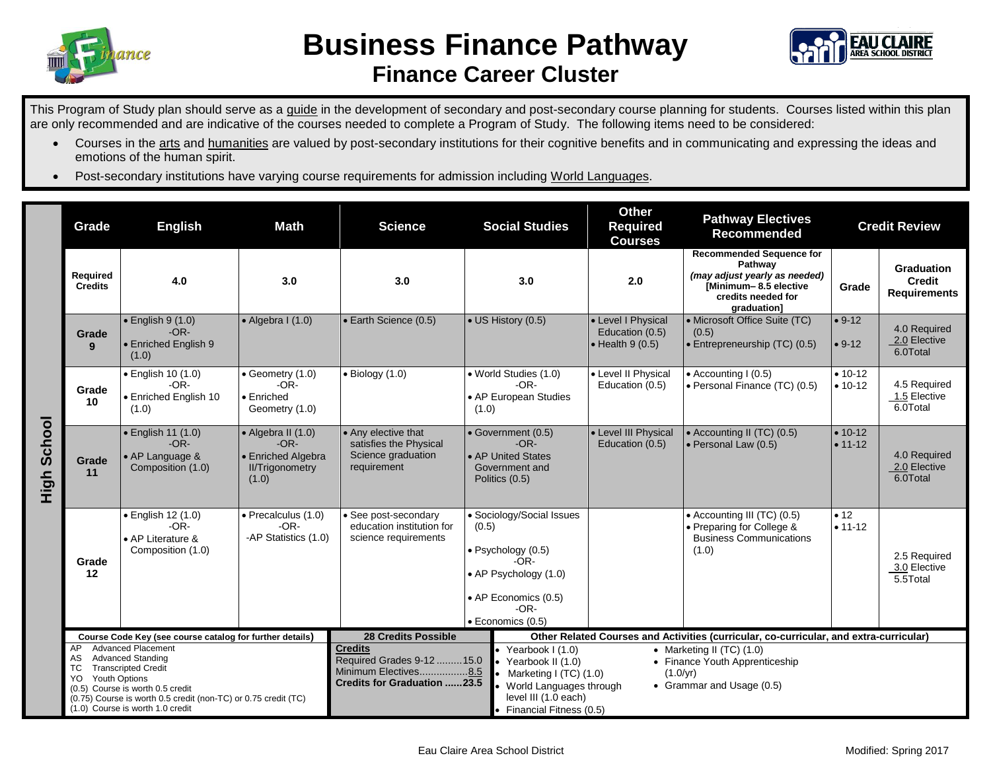



This Program of Study plan should serve as a guide in the development of secondary and post-secondary course planning for students. Courses listed within this plan are only recommended and are indicative of the courses needed to complete a Program of Study. The following items need to be considered:

- Courses in the arts and humanities are valued by post-secondary institutions for their cognitive benefits and in communicating and expressing the ideas and emotions of the human spirit.
- Post-secondary institutions have varying course requirements for admission including World Languages.

|                | Grade                                                                                                                                                                                                                                                                                   | <b>English</b><br><b>Math</b><br><b>Science</b>                        |                                                                                       | <b>Social Studies</b>                                                                                                                                                                                                                                                                                                                                                          | <b>Other</b><br><b>Pathway Electives</b><br><b>Required</b><br><b>Recommended</b><br><b>Courses</b>                                              |                                                                                        | <b>Credit Review</b>                                                                                                                      |                            |                                                           |
|----------------|-----------------------------------------------------------------------------------------------------------------------------------------------------------------------------------------------------------------------------------------------------------------------------------------|------------------------------------------------------------------------|---------------------------------------------------------------------------------------|--------------------------------------------------------------------------------------------------------------------------------------------------------------------------------------------------------------------------------------------------------------------------------------------------------------------------------------------------------------------------------|--------------------------------------------------------------------------------------------------------------------------------------------------|----------------------------------------------------------------------------------------|-------------------------------------------------------------------------------------------------------------------------------------------|----------------------------|-----------------------------------------------------------|
| School<br>High | Required<br><b>Credits</b>                                                                                                                                                                                                                                                              | 4.0                                                                    | 3.0                                                                                   | 3.0                                                                                                                                                                                                                                                                                                                                                                            | 3.0                                                                                                                                              | 2.0                                                                                    | <b>Recommended Sequence for</b><br>Pathway<br>(may adjust yearly as needed)<br>[Minimum-8.5 elective<br>credits needed for<br>graduation] | Grade                      | <b>Graduation</b><br><b>Credit</b><br><b>Requirements</b> |
|                | Grade<br>9                                                                                                                                                                                                                                                                              | $\bullet$ English 9 (1.0)<br>$-OR-$<br>• Enriched English 9<br>(1.0)   | $\bullet$ Algebra I (1.0)                                                             | • Earth Science (0.5)                                                                                                                                                                                                                                                                                                                                                          | • US History (0.5)                                                                                                                               | • Level I Physical<br>Education (0.5)<br>$\bullet$ Health 9 (0.5)                      | • Microsoft Office Suite (TC)<br>(0.5)<br>• Entrepreneurship (TC) (0.5)                                                                   | $• 9-12$<br>$• 9-12$       | 4.0 Required<br>2.0 Elective<br>6.0Total                  |
|                | Grade<br>10                                                                                                                                                                                                                                                                             | • English 10 (1.0)<br>$-OR-$<br>• Enriched English 10<br>(1.0)         | $\bullet$ Geometry (1.0)<br>$-OR-$<br>• Enriched<br>Geometry (1.0)                    | $\bullet$ Biology (1.0)                                                                                                                                                                                                                                                                                                                                                        | • World Studies (1.0)<br>$-OR-$<br>• AP European Studies<br>(1.0)                                                                                | • Level II Physical<br>Education (0.5)                                                 | $\bullet$ Accounting I (0.5)<br>• Personal Finance (TC) (0.5)                                                                             | $• 10 - 12$<br>$• 10 - 12$ | 4.5 Required<br>1.5 Elective<br>6.0Total                  |
|                | Grade<br>11                                                                                                                                                                                                                                                                             | · English 11 (1.0)<br>$-OR-$<br>• AP Language &<br>Composition (1.0)   | • Algebra II (1.0)<br>$-OR-$<br>• Enriched Algebra<br><b>II/Trigonometry</b><br>(1.0) | • Any elective that<br>satisfies the Physical<br>Science graduation<br>requirement                                                                                                                                                                                                                                                                                             | • Government (0.5)<br>$-OR-$<br>• AP United States<br>Government and<br>Politics (0.5)                                                           | • Level III Physical<br>Education (0.5)                                                | • Accounting II (TC) (0.5)<br>· Personal Law (0.5)                                                                                        | $• 10-12$<br>$• 11 - 12$   | 4.0 Required<br>2.0 Elective<br>6.0Total                  |
|                | Grade<br>12                                                                                                                                                                                                                                                                             | · English 12 (1.0)<br>$-OR-$<br>• AP Literature &<br>Composition (1.0) | · Precalculus (1.0)<br>$-OR-$<br>-AP Statistics (1.0)                                 | • See post-secondary<br>education institution for<br>science requirements                                                                                                                                                                                                                                                                                                      | • Sociology/Social Issues<br>(0.5)<br>· Psychology (0.5)<br>-OR-<br>• AP Psychology (1.0)<br>• AP Economics (0.5)<br>$-OR-$<br>· Economics (0.5) |                                                                                        | • Accounting III (TC) (0.5)<br>• Preparing for College &<br><b>Business Communications</b><br>(1.0)                                       | • 12<br>$• 11 - 12$        | 2.5 Required<br>3.0 Elective<br>5.5Total                  |
|                | Course Code Key (see course catalog for further details)                                                                                                                                                                                                                                |                                                                        |                                                                                       | <b>28 Credits Possible</b>                                                                                                                                                                                                                                                                                                                                                     |                                                                                                                                                  | Other Related Courses and Activities (curricular, co-curricular, and extra-curricular) |                                                                                                                                           |                            |                                                           |
|                | <b>Advanced Placement</b><br>AP.<br><b>Advanced Standing</b><br>AS.<br><b>TC</b><br><b>Transcripted Credit</b><br><b>Youth Options</b><br>YO.<br>(0.5) Course is worth 0.5 credit<br>(0.75) Course is worth 0.5 credit (non-TC) or 0.75 credit (TC)<br>(1.0) Course is worth 1.0 credit |                                                                        |                                                                                       | <b>Credits</b><br>Yearbook I (1.0)<br>• Marketing II (TC) $(1.0)$<br>Required Grades 9-12  15.0<br>Yearbook II (1.0)<br>• Finance Youth Apprenticeship<br>Minimum Electives8.5<br>Marketing I (TC) (1.0)<br>$(1.0/\text{yr})$<br><b>Credits for Graduation 23.5</b><br>• Grammar and Usage (0.5)<br>World Languages through<br>level III (1.0 each)<br>Financial Fitness (0.5) |                                                                                                                                                  |                                                                                        |                                                                                                                                           |                            |                                                           |